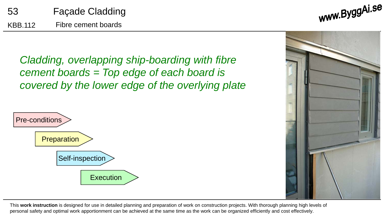www.ByggAi.se

*Cladding, overlapping ship-boarding with fibre cement boards = Top edge of each board is covered by the lower edge of the overlying plate*





This **work instruction** is designed for use in detailed planning and preparation of work on construction projects. With thorough planning high levels of personal safety and optimal work apportionment can be achieved at the same time as the work can be organized efficiently and cost effectively.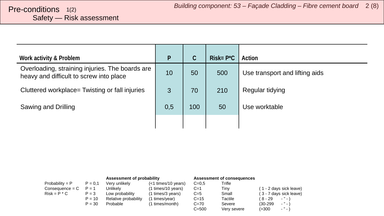# <span id="page-1-0"></span>Safety — Risk assessment

| Work activity & Problem                                                                    | P   | C   | $Risk = P^{\star}C$ | Action                         |
|--------------------------------------------------------------------------------------------|-----|-----|---------------------|--------------------------------|
| Overloading, straining injuries. The boards are<br>heavy and difficult to screw into place | 10  | 50  | 500                 | Use transport and lifting aids |
| Cluttered workplace= Twisting or fall injuries                                             | 3   | 70  | 210                 | Regular tidying                |
| Sawing and Drilling                                                                        | 0,5 | 100 | 50                  | Use worktable                  |
|                                                                                            |     |     |                     |                                |

|                   |           | Assessment of probability |                       |           | Assessment of consequences |                           |
|-------------------|-----------|---------------------------|-----------------------|-----------|----------------------------|---------------------------|
| Probability = $P$ | $P = 0.1$ | Very unlikely             | $(<1$ times/10 years) | $C=0.5$   | Trifle                     |                           |
| $Consequence = C$ | $P = 1$   | Unlikelv                  | (1 times/10 years)    | $C=1$     | Tiny                       | (1 - 2 days sick leave)   |
| $Risk = P * C$    | $P = 3$   | Low probability           | (1 times/3 years)     | $C=5$     | Small                      | (3 - 7 days sick leave)   |
|                   | $P = 10$  | Relative probability      | (1 times/year)        | $C = 15$  | Tactile                    | $-$ " $-$ )<br>( 8 - 29   |
|                   | $P = 30$  | Probable                  | (1 times/month)       | $C = 70$  | Severe                     | $-$ " $-$ )<br>$(30-299)$ |
|                   |           |                           |                       | $C = 500$ | Very severe                | $ "$ $ )$<br>(>300        |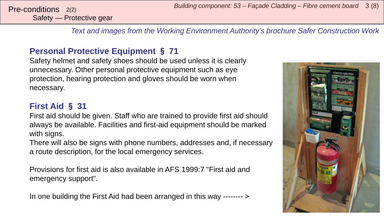Safety — Protective gear

*Text and images from the Working Environment Authority's brochure Safer Construction Work*

#### **Personal Protective Equipment** § **71**

Safety helmet and safety shoes should be used unless it is clearly unnecessary. Other personal protective equipment such as eye protection, hearing protection and gloves should be worn when necessary.

#### **First Aid** § **31**

First aid should be given. Staff who are trained to provide first aid should always be available. Facilities and first-aid equipment should be marked with signs.

There will also be signs with phone numbers, addresses and, if necessary a route description, for the local emergency services.

Provisions for first aid is also available in AFS 1999:7 "First aid and emergency support".

In one building the First Aid had been arranged in this way -------- >

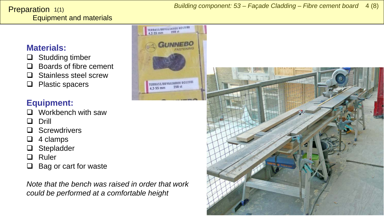*Building component: 53 – Façade Cladding – Fibre cement board* 4 (8)

#### <span id="page-3-0"></span>Equipment and materials **Preparation**  $1(1)$

#### **Materials:**

- $\Box$  Studding timber
- $\Box$  Boards of fibre cement
- □ Stainless steel screw
- $\Box$  Plastic spacers

### **Equipment:**

- $\Box$  Workbench with saw
- **Q** Drill
- □ Screwdrivers
- $\Box$  4 clamps
- □ Stepladder
- **Q** Ruler
- $\Box$  Bag or cart for waste

*Note that the bench was raised in order that work could be performed at a comfortable height*



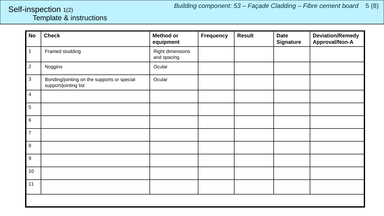#### <span id="page-4-0"></span>Template & instructions Self-inspection 1(2)

| No                        | <b>Check</b>                                                         | <b>Method or</b><br>equipment   | <b>Frequency</b> | <b>Result</b> | <b>Date</b><br><b>Signature</b> | <b>Deviation/Remedy</b><br>Approval/Non-A |  |  |
|---------------------------|----------------------------------------------------------------------|---------------------------------|------------------|---------------|---------------------------------|-------------------------------------------|--|--|
| $\mathbf{1}$              | Framed studding                                                      | Right dimensions<br>and spacing |                  |               |                                 |                                           |  |  |
| $\overline{2}$            | Noggins                                                              | Ocular                          |                  |               |                                 |                                           |  |  |
| $\ensuremath{\mathsf{3}}$ | Bonding/jointing on the supports or special<br>support/jointing list | Ocular                          |                  |               |                                 |                                           |  |  |
| $\overline{4}$            |                                                                      |                                 |                  |               |                                 |                                           |  |  |
| $\,$ 5 $\,$               |                                                                      |                                 |                  |               |                                 |                                           |  |  |
| $\,6$                     |                                                                      |                                 |                  |               |                                 |                                           |  |  |
| $\overline{7}$            |                                                                      |                                 |                  |               |                                 |                                           |  |  |
| $\,8\,$                   |                                                                      |                                 |                  |               |                                 |                                           |  |  |
| $\boldsymbol{9}$          |                                                                      |                                 |                  |               |                                 |                                           |  |  |
| 10                        |                                                                      |                                 |                  |               |                                 |                                           |  |  |
| 11                        |                                                                      |                                 |                  |               |                                 |                                           |  |  |
|                           |                                                                      |                                 |                  |               |                                 |                                           |  |  |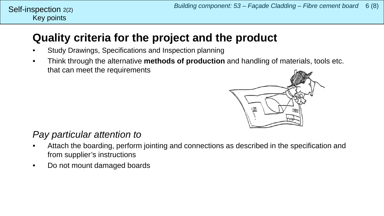#### Key points Self-inspection 2(2)

## **Quality criteria for the project and the product**

- Study Drawings, Specifications and Inspection planning
- Think through the alternative **methods of production** and handling of materials, tools etc. that can meet the requirements



### *Pay particular attention to*

- Attach the boarding, perform jointing and connections as described in the specification and from supplier's instructions
- Do not mount damaged boards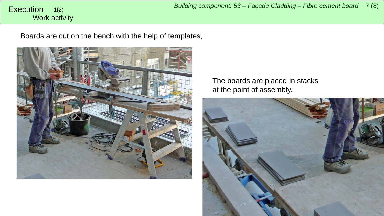#### <span id="page-6-0"></span>Work activity 1(2)

Boards are cut on the bench with the help of templates,



The boards are placed in stacks at the point of assembly.